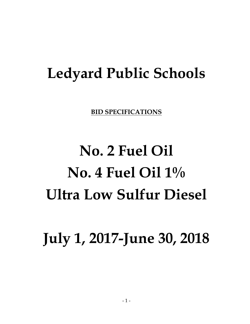## **Ledyard Public Schools**

**BID SPECIFICATIONS**

# **No. 2 Fuel Oil No. 4 Fuel Oil 1% Ultra Low Sulfur Diesel**

**July 1, 2017-June 30, 2018**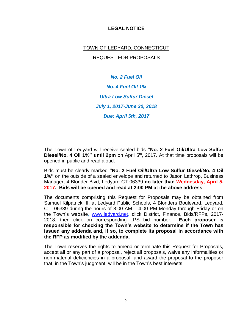#### **LEGAL NOTICE**

## TOWN OF LEDYARD, CONNECTICUT REQUEST FOR PROPOSALS

*No. 2 Fuel Oil*

*No. 4 Fuel Oil 1% Ultra Low Sulfur Diesel July 1, 2017-June 30, 2018 Due: April 5th, 2017*

The Town of Ledyard will receive sealed bids **"No. 2 Fuel Oil/Ultra Low Sulfur Diesel/No. 4 Oil 1%" until 2pm** on April 5th, 2017. At that time proposals will be opened in public and read aloud.

Bids must be clearly marked **"No. 2 Fuel Oil/Ultra Low Sulfur Diesel/No. 4 Oil 1%"** on the outside of a sealed envelope and returned to Jason Lathrop, Business Manager, 4 Blonder Blvd, Ledyard CT 06339 **no later than Wednesday, April 5, 2017. Bids will be opened and read at 2:00 PM at the above address**.

The documents comprising this Request for Proposals may be obtained from Samuel Kilpatrick III, at Ledyard Public Schools, 4 Blonders Boulevard, Ledyard, CT 06339 during the hours of 8:00 AM – 4:00 PM Monday through Friday or on the Town's website, [www.ledyard.net,](http://www.ledyard.net/) click District, Finance, Bids/RFPs, 2017- 2018, then click on corresponding LPS bid number. **Each proposer is responsible for checking the Town's website to determine if the Town has issued any addenda and, if so, to complete its proposal in accordance with the RFP as modified by the addenda.**

The Town reserves the rights to amend or terminate this Request for Proposals, accept all or any part of a proposal, reject all proposals, waive any informalities or non-material deficiencies in a proposal, and award the proposal to the proposer that, in the Town's judgment, will be in the Town's best interests.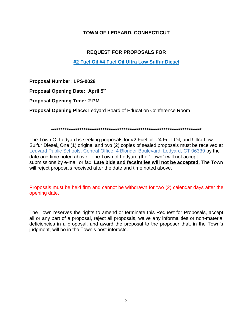#### **TOWN OF LEDYARD, CONNECTICUT**

#### **REQUEST FOR PROPOSALS FOR**

#### **#2 Fuel Oil #4 Fuel Oil Ultra Low Sulfur Diesel**

**Proposal Number: LPS-0028 Proposal Opening Date: April 5th Proposal Opening Time: 2 PM Proposal Opening Place:** Ledyard Board of Education Conference Room

**\*\*\*\*\*\*\*\*\*\*\*\*\*\*\*\*\*\*\*\*\*\*\*\*\*\*\*\*\*\*\*\*\*\*\*\*\*\*\*\*\*\*\*\*\*\*\*\*\*\*\*\*\*\*\*\*\*\*\*\*\*\*\*\*\*\*\*\*\*\*\*\*\*\*\*\*\*\*\***

The Town Of Ledyard is seeking proposals for #2 Fuel oil, #4 Fuel Oil, and Ultra Low Sulfur Diesel**.** One (1) original and two (2) copies of sealed proposals must be received at Ledyard Public Schools, Central Office, 4 Blonder Boulevard, Ledyard, CT 06339 by the date and time noted above. The Town of Ledyard (the "Town") will not accept submissions by e-mail or fax. **Late bids and facsimiles will not be accepted.** The Town will reject proposals received after the date and time noted above.

Proposals must be held firm and cannot be withdrawn for two (2) calendar days after the opening date.

The Town reserves the rights to amend or terminate this Request for Proposals, accept all or any part of a proposal, reject all proposals, waive any informalities or non-material deficiencies in a proposal, and award the proposal to the proposer that, in the Town's judgment, will be in the Town's best interests.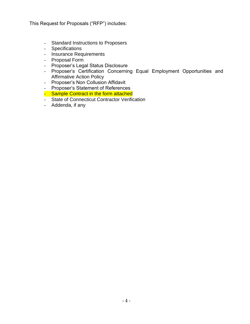This Request for Proposals ("RFP") includes:

- Standard Instructions to Proposers
- Specifications
- Insurance Requirements
- Proposal Form
- Proposer's Legal Status Disclosure
- Proposer's Certification Concerning Equal Employment Opportunities and Affirmative Action Policy
- Proposer's Non Collusion Affidavit
- Proposer's Statement of References
- Sample Contract in the form attached
- State of Connecticut Contractor Verification
- Addenda, if any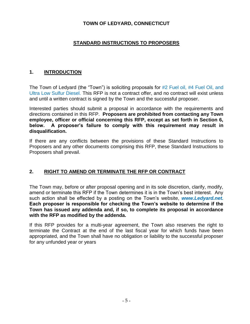#### **TOWN OF LEDYARD, CONNECTICUT**

#### **STANDARD INSTRUCTIONS TO PROPOSERS**

#### **1. INTRODUCTION**

The Town of Ledyard (the "Town") is soliciting proposals for #2 Fuel oil, #4 Fuel Oil, and Ultra Low Sulfur Diesel. This RFP is not a contract offer, and no contract will exist unless and until a written contract is signed by the Town and the successful proposer.

Interested parties should submit a proposal in accordance with the requirements and directions contained in this RFP. **Proposers are prohibited from contacting any Town employee, officer or official concerning this RFP, except as set forth in Section 6, below. A proposer's failure to comply with this requirement may result in disqualification.**

If there are any conflicts between the provisions of these Standard Instructions to Proposers and any other documents comprising this RFP, these Standard Instructions to Proposers shall prevail.

#### **2. RIGHT TO AMEND OR TERMINATE THE RFP OR CONTRACT**

The Town may, before or after proposal opening and in its sole discretion, clarify, modify, amend or terminate this RFP if the Town determines it is in the Town's best interest. Any such action shall be effected by a posting on the Town's website, *www.Ledyard.net.* **Each proposer is responsible for checking the Town's website to determine if the Town has issued any addenda and, if so, to complete its proposal in accordance with the RFP as modified by the addenda.**

If this RFP provides for a multi-year agreement, the Town also reserves the right to terminate the Contract at the end of the last fiscal year for which funds have been appropriated, and the Town shall have no obligation or liability to the successful proposer for any unfunded year or years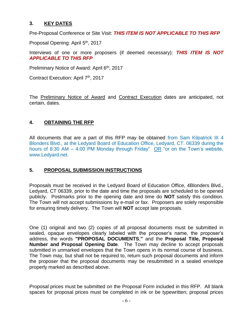#### **3. KEY DATES**

Pre-Proposal Conference or Site Visit: *THIS ITEM IS NOT APPLICABLE TO THIS RFP*

Proposal Opening: April 5<sup>th</sup>, 2017

Interviews of one or more proposers (if deemed necessary): *THIS ITEM IS NOT APPLICABLE TO THIS RFP*

Preliminary Notice of Award: April 6<sup>th</sup>, 2017

Contract Execution: April 7<sup>th</sup>, 2017

The Preliminary Notice of Award and Contract Execution dates are anticipated, not certain, dates.

#### **4. OBTAINING THE RFP**

All documents that are a part of this RFP may be obtained from Sam Kilpatrick III 4 Blonders Blvd., at the Ledyard Board of Education Office, Ledyard, CT. 06339 during the hours of 8:30 AM – 4:00 PM Monday through Friday" OR "or on the Town's website, www.Ledyard.net.

#### **5. PROPOSAL SUBMISSION INSTRUCTIONS**

Proposals must be received in the Ledyard Board of Education Office, 4Blonders Blvd., Ledyard, CT 06339, prior to the date and time the proposals are scheduled to be opened publicly. Postmarks prior to the opening date and time do **NOT** satisfy this condition. The Town will not accept submissions by e-mail or fax. Proposers are solely responsible for ensuring timely delivery. The Town will **NOT** accept late proposals.

One (1) original and two (2) copies of all proposal documents must be submitted in sealed, opaque envelopes clearly labeled with the proposer's name, the proposer's address, the words **"PROPOSAL DOCUMENTS**,**"** and the **Proposal Title, Proposal Number and Proposal Opening Date**. The Town may decline to accept proposals submitted in unmarked envelopes that the Town opens in its normal course of business. The Town may, but shall not be required to, return such proposal documents and inform the proposer that the proposal documents may be resubmitted in a sealed envelope properly marked as described above.

Proposal prices must be submitted on the Proposal Form included in this RFP. All blank spaces for proposal prices must be completed in ink or be typewritten; proposal prices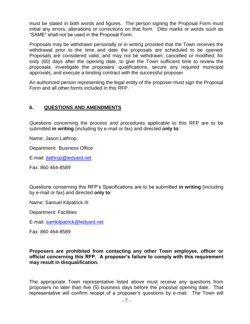must be stated in both words and figures. The person signing the Proposal Form must initial any errors, alterations or corrections on that form. Ditto marks or words such as "SAME" shall not be used in the Proposal Form.

Proposals may be withdrawn personally or in writing provided that the Town receives the withdrawal prior to the time and date the proposals are scheduled to be opened. Proposals are considered valid, and may not be withdrawn, cancelled or modified, for sixty (60) days after the opening date, to give the Town sufficient time to review the proposals, investigate the proposers' qualifications, secure any required municipal approvals, and execute a binding contract with the successful proposer.

An authorized person representing the legal entity of the proposer must sign the Proposal Form and all other forms included in this RFP.

#### **6. QUESTIONS AND AMENDMENTS**

Questions concerning the process and procedures applicable to this RFP are to be submitted **in writing** (including by e-mail or fax) and directed **only to**:

Name: Jason Lathrop

Department: Business Office

E-mail: [jlathrop@ledyard.net](mailto:jlathrop@ledyard.net)

Fax: 860 464-8589

Questions concerning this RFP's Specifications are to be submitted **in writing** (including by e-mail or fax) and directed **only to**:

Name: Samuel Kilpatrick III

Department: Facilities

E-mail: [samkilpatrick@ledyard.net](mailto:samkilpatrick@ledyard.net)

Fax: 860 464-8589

#### **Proposers are prohibited from contacting any other Town employee, officer or official concerning this RFP. A proposer's failure to comply with this requirement may result in disqualification.**

The appropriate Town representative listed above must receive any questions from proposers no later than five (5) business days before the proposal opening date. That representative will confirm receipt of a proposer's questions by e-mail. The Town will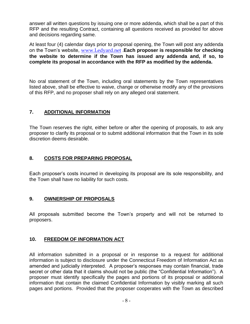answer all written questions by issuing one or more addenda, which shall be a part of this RFP and the resulting Contract, containing all questions received as provided for above and decisions regarding same.

At least four (4) calendar days prior to proposal opening, the Town will post any addenda on the Town's website, [www.Ledyard.net](http://www.ledyard.net/) .**Each proposer is responsible for checking the website to determine if the Town has issued any addenda and, if so, to complete its proposal in accordance with the RFP as modified by the addenda.**

No oral statement of the Town, including oral statements by the Town representatives listed above, shall be effective to waive, change or otherwise modify any of the provisions of this RFP, and no proposer shall rely on any alleged oral statement.

#### **7. ADDITIONAL INFORMATION**

The Town reserves the right, either before or after the opening of proposals, to ask any proposer to clarify its proposal or to submit additional information that the Town in its sole discretion deems desirable.

#### **8. COSTS FOR PREPARING PROPOSAL**

Each proposer's costs incurred in developing its proposal are its sole responsibility, and the Town shall have no liability for such costs.

#### **9. OWNERSHIP OF PROPOSALS**

All proposals submitted become the Town's property and will not be returned to proposers.

#### **10. FREEDOM OF INFORMATION ACT**

All information submitted in a proposal or in response to a request for additional information is subject to disclosure under the Connecticut Freedom of Information Act as amended and judicially interpreted. A proposer's responses may contain financial, trade secret or other data that it claims should not be public (the "Confidential Information"). A proposer must identify specifically the pages and portions of its proposal or additional information that contain the claimed Confidential Information by visibly marking all such pages and portions. Provided that the proposer cooperates with the Town as described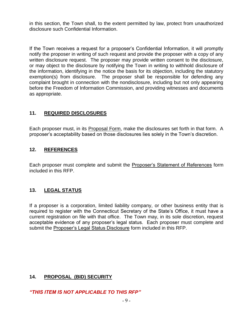in this section, the Town shall, to the extent permitted by law, protect from unauthorized disclosure such Confidential Information.

If the Town receives a request for a proposer's Confidential Information, it will promptly notify the proposer in writing of such request and provide the proposer with a copy of any written disclosure request. The proposer may provide written consent to the disclosure, or may object to the disclosure by notifying the Town in writing to withhold disclosure of the information, identifying in the notice the basis for its objection, including the statutory exemption(s) from disclosure. The proposer shall be responsible for defending any complaint brought in connection with the nondisclosure, including but not only appearing before the Freedom of Information Commission, and providing witnesses and documents as appropriate.

#### **11. REQUIRED DISCLOSURES**

Each proposer must, in its Proposal Form, make the disclosures set forth in that form. A proposer's acceptability based on those disclosures lies solely in the Town's discretion.

#### **12. REFERENCES**

Each proposer must complete and submit the Proposer's Statement of References form included in this RFP.

#### **13. LEGAL STATUS**

If a proposer is a corporation, limited liability company, or other business entity that is required to register with the Connecticut Secretary of the State's Office, it must have a current registration on file with that office. The Town may, in its sole discretion, request acceptable evidence of any proposer's legal status. Each proposer must complete and submit the Proposer's Legal Status Disclosure form included in this RFP.

#### **14. PROPOSAL (BID) SECURITY**

*"THIS ITEM IS NOT APPLICABLE TO THIS RFP"*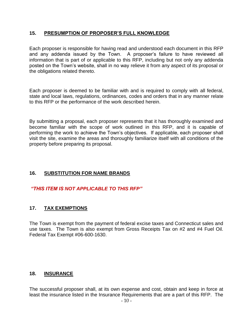#### **15. PRESUMPTION OF PROPOSER'S FULL KNOWLEDGE**

Each proposer is responsible for having read and understood each document in this RFP and any addenda issued by the Town. A proposer's failure to have reviewed all information that is part of or applicable to this RFP, including but not only any addenda posted on the Town's website, shall in no way relieve it from any aspect of its proposal or the obligations related thereto.

Each proposer is deemed to be familiar with and is required to comply with all federal, state and local laws, regulations, ordinances, codes and orders that in any manner relate to this RFP or the performance of the work described herein.

By submitting a proposal, each proposer represents that it has thoroughly examined and become familiar with the scope of work outlined in this RFP, and it is capable of performing the work to achieve the Town's objectives. If applicable, each proposer shall visit the site, examine the areas and thoroughly familiarize itself with all conditions of the property before preparing its proposal.

#### **16. SUBSTITUTION FOR NAME BRANDS**

#### *"THIS ITEM IS NOT APPLICABLE TO THIS RFP"*

#### **17. TAX EXEMPTIONS**

The Town is exempt from the payment of federal excise taxes and Connecticut sales and use taxes. The Town is also exempt from Gross Receipts Tax on #2 and #4 Fuel Oil. Federal Tax Exempt #06-600-1630.

#### **18. INSURANCE**

The successful proposer shall, at its own expense and cost, obtain and keep in force at least the insurance listed in the Insurance Requirements that are a part of this RFP. The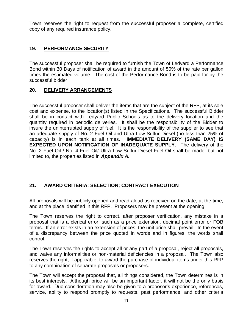Town reserves the right to request from the successful proposer a complete, certified copy of any required insurance policy.

#### **19. PERFORMANCE SECURITY**

The successful proposer shall be required to furnish the Town of Ledyard a Performance Bond within 30 Days of notification of award in the amount of 50% of the rate per gallon times the estimated volume. The cost of the Performance Bond is to be paid for by the successful bidder.

#### **20. DELIVERY ARRANGEMENTS**

The successful proposer shall deliver the items that are the subject of the RFP, at its sole cost and expense, to the location(s) listed in the Specifications. The successful Bidder shall be in contact with Ledyard Public Schools as to the delivery location and the quantity required in periodic deliveries. It shall be the responsibility of the Bidder to insure the uninterrupted supply of fuel. It is the responsibility of the supplier to see that an adequate supply of No. 2 Fuel Oil and Ultra Low Sulfur Diesel (no less than 25% of capacity) is in each tank at all times. **IMMEDIATE DELIVERY (SAME DAY) IS EXPECTED UPON NOTIFICATION OF INADEQUATE SUPPLY**. The delivery of the No. 2 Fuel Oil / No. 4 Fuel Oil/ Ultra Low Sulfur Diesel Fuel Oil shall be made, but not limited to, the properties listed in *Appendix A.*

#### **21. AWARD CRITERIA; SELECTION; CONTRACT EXECUTION**

All proposals will be publicly opened and read aloud as received on the date, at the time, and at the place identified in this RFP. Proposers may be present at the opening.

The Town reserves the right to correct, after proposer verification, any mistake in a proposal that is a clerical error, such as a price extension, decimal point error or FOB terms. If an error exists in an extension of prices, the unit price shall prevail. In the event of a discrepancy between the price quoted in words and in figures, the words shall control.

The Town reserves the rights to accept all or any part of a proposal, reject all proposals, and waive any informalities or non-material deficiencies in a proposal. The Town also reserves the right, if applicable, to award the purchase of individual items under this RFP to any combination of separate proposals or proposers.

The Town will accept the proposal that, all things considered, the Town determines is in its best interests. Although price will be an important factor, it will not be the only basis for award. Due consideration may also be given to a proposer's experience, references, service, ability to respond promptly to requests, past performance, and other criteria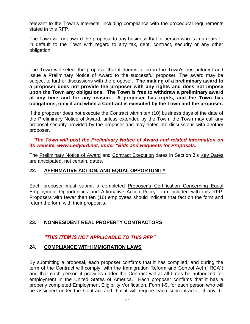relevant to the Town's interests, including compliance with the procedural requirements stated in this RFP.

The Town will not award the proposal to any business that or person who is in arrears or in default to the Town with regard to any tax, debt, contract, security or any other obligation.

The Town will select the proposal that it deems to be in the Town's best interest and issue a Preliminary Notice of Award to the successful proposer. The award may be subject to further discussions with the proposer. **The making of a preliminary award to a proposer does not provide the proposer with any rights and does not impose upon the Town any obligations. The Town is free to withdraw a preliminary award at any time and for any reason. A proposer has rights, and the Town has obligations, only if and when a Contract is executed by the Town and the proposer.**

If the proposer does not execute the Contract within ten (10) business days of the date of the Preliminary Notice of Award, unless extended by the Town, the Town may call any proposal security provided by the proposer and may enter into discussions with another proposer.

#### *"The Town will post the Preliminary Notice of Award and related information on its website, www.Ledyard.net, under "Bids and Requests for Proposals.*

The Preliminary Notice of Award and Contract Execution dates in Section 3's Key Dates are anticipated, not certain, dates.

#### **22. AFFIRMATIVE ACTION, AND EQUAL OPPORTUNITY**

Each proposer must submit a completed Proposer's Certification Concerning Equal Employment Opportunities and Affirmative Action Policy form included with this RFP. Proposers with fewer than ten (10) employees should indicate that fact on the form and return the form with their proposals.

#### **23. NONRESIDENT REAL PROPERTY CONTRACTORS**

#### *"THIS ITEM IS NOT APPLICABLE TO THIS RFP"*

#### **24. COMPLIANCE WITH IMMIGRATION LAWS**

By submitting a proposal, each proposer confirms that it has complied, and during the term of the Contract will comply, with the Immigration Reform and Control Act ("IRCA") and that each person it provides under the Contract will at all times be authorized for employment in the United States of America. Each proposer confirms that it has a properly completed Employment Eligibility Verification, Form I-9, for each person who will be assigned under the Contract and that it will require each subcontractor, if any, to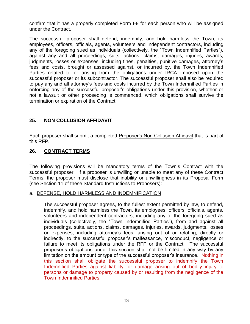confirm that it has a properly completed Form I-9 for each person who will be assigned under the Contract.

The successful proposer shall defend, indemnify, and hold harmless the Town, its employees, officers, officials, agents, volunteers and independent contractors, including any of the foregoing sued as individuals (collectively, the "Town Indemnified Parties"), against any and all proceedings, suits, actions, claims, damages, injuries, awards, judgments, losses or expenses, including fines, penalties, punitive damages, attorney's fees and costs, brought or assessed against, or incurred by, the Town Indemnified Parties related to or arising from the obligations under IRCA imposed upon the successful proposer or its subcontractor. The successful proposer shall also be required to pay any and all attorney's fees and costs incurred by the Town Indemnified Parties in enforcing any of the successful proposer's obligations under this provision, whether or not a lawsuit or other proceeding is commenced, which obligations shall survive the termination or expiration of the Contract.

#### **25. NON COLLUSION AFFIDAVIT**

Each proposer shall submit a completed Proposer's Non Collusion Affidavit that is part of this RFP.

#### **26. CONTRACT TERMS**

The following provisions will be mandatory terms of the Town's Contract with the successful proposer. If a proposer is unwilling or unable to meet any of these Contract Terms, the proposer must disclose that inability or unwillingness in its Proposal Form (see Section 11 of these Standard Instructions to Proposers):

#### a. DEFENSE, HOLD HARMLESS AND INDEMNIFICATION

The successful proposer agrees, to the fullest extent permitted by law, to defend, indemnify, and hold harmless the Town, its employees, officers, officials, agents, volunteers and independent contractors, including any of the foregoing sued as individuals (collectively, the "Town Indemnified Parties"), from and against all proceedings, suits, actions, claims, damages, injuries, awards, judgments, losses or expenses, including attorney's fees, arising out of or relating, directly or indirectly, to the successful proposer's malfeasance, misconduct, negligence or failure to meet its obligations under the RFP or the Contract. The successful proposer's obligations under this section shall not be limited in any way by any limitation on the amount or type of the successful proposer's insurance. Nothing in this section shall obligate the successful proposer to indemnify the Town Indemnified Parties against liability for damage arising out of bodily injury to persons or damage to property caused by or resulting from the negligence of the Town Indemnified Parties.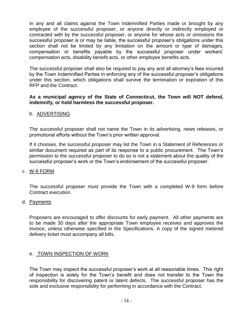In any and all claims against the Town Indemnified Parties made or brought by any employee of the successful proposer, or anyone directly or indirectly employed or contracted with by the successful proposer, or anyone for whose acts or omissions the successful proposer is or may be liable, the successful proposer's obligations under this section shall not be limited by any limitation on the amount or type of damages, compensation or benefits payable by the successful proposer under workers' compensation acts, disability benefit acts, or other employee benefits acts.

The successful proposer shall also be required to pay any and all attorney's fees incurred by the Town Indemnified Parties in enforcing any of the successful proposer's obligations under this section, which obligations shall survive the termination or expiration of this RFP and the Contract.

#### **As a municipal agency of the State of Connecticut, the Town will NOT defend, indemnify, or hold harmless the successful proposer.**

#### b. ADVERTISING

The successful proposer shall not name the Town in its advertising, news releases, or promotional efforts without the Town's prior written approval.

If it chooses, the successful proposer may list the Town in a Statement of References or similar document required as part of its response to a public procurement. The Town's permission to the successful proposer to do so is not a statement about the quality of the successful proposer's work or the Town's endorsement of the successful proposer.

#### c. W-9 FORM

The successful proposer must provide the Town with a completed W-9 form before Contract execution.

#### d. Payments

Proposers are encouraged to offer discounts for early payment. All other payments are to be made 30 days after the appropriate Town employee receives and approves the invoice, unless otherwise specified in the Specifications. A copy of the signed metered delivery ticket must accompany all bills.

#### e. TOWN INSPECTION OF WORK

The Town may inspect the successful proposer's work at all reasonable times. This right of inspection is solely for the Town's benefit and does not transfer to the Town the responsibility for discovering patent or latent defects. The successful proposer has the sole and exclusive responsibility for performing in accordance with the Contract.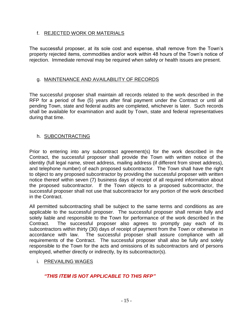#### f. REJECTED WORK OR MATERIALS

The successful proposer, at its sole cost and expense, shall remove from the Town's property rejected items, commodities and/or work within 48 hours of the Town's notice of rejection. Immediate removal may be required when safety or health issues are present.

#### g. MAINTENANCE AND AVAILABILITY OF RECORDS

The successful proposer shall maintain all records related to the work described in the RFP for a period of five (5) years after final payment under the Contract or until all pending Town, state and federal audits are completed, whichever is later. Such records shall be available for examination and audit by Town, state and federal representatives during that time.

#### h. SUBCONTRACTING

Prior to entering into any subcontract agreement(s) for the work described in the Contract, the successful proposer shall provide the Town with written notice of the identity (full legal name, street address, mailing address (if different from street address), and telephone number) of each proposed subcontractor. The Town shall have the right to object to any proposed subcontractor by providing the successful proposer with written notice thereof within seven (7) business days of receipt of all required information about the proposed subcontractor. If the Town objects to a proposed subcontractor, the successful proposer shall not use that subcontractor for any portion of the work described in the Contract.

All permitted subcontracting shall be subject to the same terms and conditions as are applicable to the successful proposer. The successful proposer shall remain fully and solely liable and responsible to the Town for performance of the work described in the Contract. The successful proposer also agrees to promptly pay each of its subcontractors within thirty (30) days of receipt of payment from the Town or otherwise in accordance with law. The successful proposer shall assure compliance with all requirements of the Contract. The successful proposer shall also be fully and solely responsible to the Town for the acts and omissions of its subcontractors and of persons employed, whether directly or indirectly, by its subcontractor(s).

#### i. PREVAILING WAGES

#### *"THIS ITEM IS NOT APPLICABLE TO THIS RFP"*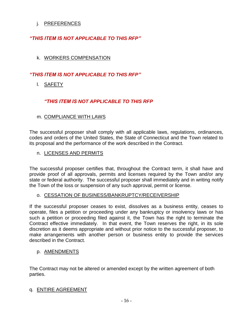#### j. PREFERENCES

#### *"THIS ITEM IS NOT APPLICABLE TO THIS RFP"*

#### k. WORKERS COMPENSATION

#### *"THIS ITEM IS NOT APPLICABLE TO THIS RFP"*

l. SAFETY

#### *"THIS ITEM IS NOT APPLICABLE TO THIS RFP*

#### m. COMPLIANCE WITH LAWS

The successful proposer shall comply with all applicable laws, regulations, ordinances, codes and orders of the United States, the State of Connecticut and the Town related to its proposal and the performance of the work described in the Contract.

#### n. LICENSES AND PERMITS

The successful proposer certifies that, throughout the Contract term, it shall have and provide proof of all approvals, permits and licenses required by the Town and/or any state or federal authority. The successful proposer shall immediately and in writing notify the Town of the loss or suspension of any such approval, permit or license.

#### o. CESSATION OF BUSINESS/BANKRUPTCY/RECEIVERSHIP

If the successful proposer ceases to exist, dissolves as a business entity, ceases to operate, files a petition or proceeding under any bankruptcy or insolvency laws or has such a petition or proceeding filed against it, the Town has the right to terminate the Contract effective immediately. In that event, the Town reserves the right, in its sole discretion as it deems appropriate and without prior notice to the successful proposer, to make arrangements with another person or business entity to provide the services described in the Contract.

#### p. AMENDMENTS

The Contract may not be altered or amended except by the written agreement of both parties.

#### q. ENTIRE AGREEMENT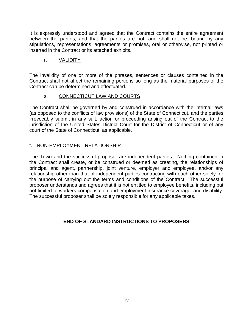It is expressly understood and agreed that the Contract contains the entire agreement between the parties, and that the parties are not, and shall not be, bound by any stipulations, representations, agreements or promises, oral or otherwise, not printed or inserted in the Contract or its attached exhibits.

#### r. VALIDITY

The invalidity of one or more of the phrases, sentences or clauses contained in the Contract shall not affect the remaining portions so long as the material purposes of the Contract can be determined and effectuated.

#### s. CONNECTICUT LAW AND COURTS

The Contract shall be governed by and construed in accordance with the internal laws (as opposed to the conflicts of law provisions) of the State of Connecticut, and the parties irrevocably submit in any suit, action or proceeding arising out of the Contract to the jurisdiction of the United States District Court for the District of Connecticut or of any court of the State of Connecticut, as applicable.

#### t. NON-EMPLOYMENT RELATIONSHIP

The Town and the successful proposer are independent parties. Nothing contained in the Contract shall create, or be construed or deemed as creating, the relationships of principal and agent, partnership, joint venture, employer and employee, and/or any relationship other than that of independent parties contracting with each other solely for the purpose of carrying out the terms and conditions of the Contract. The successful proposer understands and agrees that it is not entitled to employee benefits, including but not limited to workers compensation and employment insurance coverage, and disability. The successful proposer shall be solely responsible for any applicable taxes.

#### **END OF STANDARD INSTRUCTIONS TO PROPOSERS**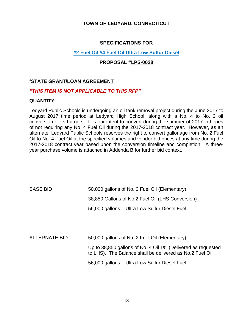#### **TOWN OF LEDYARD, CONNECTICUT**

#### **SPECIFICATIONS FOR**

#### **#2 Fuel Oil #4 Fuel Oil Ultra Low Sulfur Diesel**

#### **PROPOSAL #LPS-0028**

#### "**STATE GRANT/LOAN AGREEMENT**

#### *"THIS ITEM IS NOT APPLICABLE TO THIS RFP"*

#### **QUANTITY**

Ledyard Public Schools is undergoing an oil tank removal project during the June 2017 to August 2017 time period at Ledyard High School, along with a No. 4 to No. 2 oil conversion of its burners. It is our intent to convert during the summer of 2017 in hopes of not requiring any No. 4 Fuel Oil during the 2017-2018 contract year. However, as an alternate, Ledyard Public Schools reserves the right to convert gallonage from No. 2 Fuel Oil to No. 4 Fuel Oil at the specified volumes and vendor bid prices at any time during the 2017-2018 contract year based upon the conversion timeline and completion. A threeyear purchase volume is attached in Addenda B for further bid context.

| <b>BASE BID</b>      | 50,000 gallons of No. 2 Fuel Oil (Elementary)                                                                            |  |  |  |
|----------------------|--------------------------------------------------------------------------------------------------------------------------|--|--|--|
|                      | 38,850 Gallons of No.2 Fuel Oil (LHS Conversion)                                                                         |  |  |  |
|                      | 56,000 gallons – Ultra Low Sulfur Diesel Fuel                                                                            |  |  |  |
|                      |                                                                                                                          |  |  |  |
|                      |                                                                                                                          |  |  |  |
| <b>ALTERNATE BID</b> | 50,000 gallons of No. 2 Fuel Oil (Elementary)                                                                            |  |  |  |
|                      | Up to 38,850 gallons of No. 4 Oil 1% (Delivered as requested<br>to LHS). The Balance shall be delivered as No.2 Fuel Oil |  |  |  |
|                      | 56,000 gallons – Ultra Low Sulfur Diesel Fuel                                                                            |  |  |  |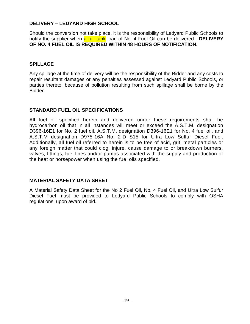#### **DELIVERY – LEDYARD HIGH SCHOOL**

Should the conversion not take place, it is the responsibility of Ledyard Public Schools to notify the supplier when a full tank load of No. 4 Fuel Oil can be delivered. **DELIVERY OF NO. 4 FUEL OIL IS REQUIRED WITHIN 48 HOURS OF NOTIFICATION.** 

#### **SPILLAGE**

Any spillage at the time of delivery will be the responsibility of the Bidder and any costs to repair resultant damages or any penalties assessed against Ledyard Public Schools, or parties thereto, because of pollution resulting from such spillage shall be borne by the Bidder.

#### **STANDARD FUEL OIL SPECIFICATIONS**

All fuel oil specified herein and delivered under these requirements shall be hydrocarbon oil that in all instances will meet or exceed the A.S.T.M. designation D396-16E1 for No. 2 fuel oil, A.S.T.M. designation D396-16E1 for No. 4 fuel oil, and A.S.T.M designation D975-16A No. 2-D S15 for Ultra Low Sulfur Diesel Fuel. Additionally, all fuel oil referred to herein is to be free of acid, grit, metal particles or any foreign matter that could clog, injure, cause damage to or breakdown burners, valves, fittings, fuel lines and/or pumps associated with the supply and production of the heat or horsepower when using the fuel oils specified.

#### **MATERIAL SAFETY DATA SHEET**

A Material Safety Data Sheet for the No 2 Fuel Oil, No. 4 Fuel Oil, and Ultra Low Sulfur Diesel Fuel must be provided to Ledyard Public Schools to comply with OSHA regulations, upon award of bid.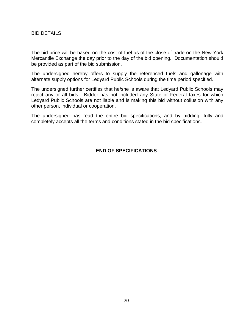BID DETAILS:

The bid price will be based on the cost of fuel as of the close of trade on the New York Mercantile Exchange the day prior to the day of the bid opening. Documentation should be provided as part of the bid submission.

The undersigned hereby offers to supply the referenced fuels and gallonage with alternate supply options for Ledyard Public Schools during the time period specified.

The undersigned further certifies that he/she is aware that Ledyard Public Schools may reject any or all bids. Bidder has not included any State or Federal taxes for which Ledyard Public Schools are not liable and is making this bid without collusion with any other person, individual or cooperation.

The undersigned has read the entire bid specifications, and by bidding, fully and completely accepts all the terms and conditions stated in the bid specifications.

#### **END OF SPECIFICATIONS**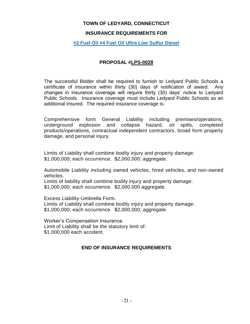#### **TOWN OF LEDYARD, CONNECTICUT**

#### **INSURANCE REQUIREMENTS FOR**

#### **#2 Fuel Oil #4 Fuel Oil Ultra Low Sulfur Diesel**

#### **PROPOSAL #LPS-0028**

The successful Bidder shall be required to furnish to Ledyard Public Schools a certificate of insurance within thirty (30) days of notification of award. Any changes in insurance coverage will require thirty (30) days' notice to Ledyard Public Schools. Insurance coverage must include Ledyard Public Schools as an additional insured. The required insurance coverage is:

Comprehensive form General Liability including premises/operations, underground explosion and collapse hazard, oil spills, completed products/operations, contractual independent contractors, broad form property damage, and personal injury.

Limits of Liability shall combine bodily injury and property damage: \$1,000,000; each occurrence. \$2,000,000; aggregate.

Automobile Liability including owned vehicles, hired vehicles, and non-owned vehicles.

Limits of liability shall combine bodily injury and property damage: \$1,000,000; each occurrence. \$2,000,000 aggregate.

Excess Liability-Umbrella Form. Limits of Liability shall combine bodily injury and property damage: \$1,000,000; each occurrence. \$2,000,000; aggregate.

Worker's Compensation Insurance. Limit of Liability shall be the statutory limit of: \$1,000,000 each accident.

#### **END OF INSURANCE REQUIREMENTS**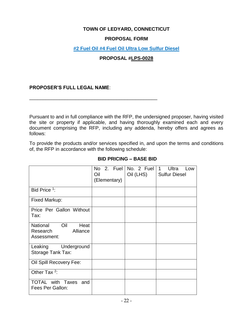#### **TOWN OF LEDYARD, CONNECTICUT**

#### **PROPOSAL FORM**

#### **#2 Fuel Oil #4 Fuel Oil Ultra Low Sulfur Diesel**

#### **PROPOSAL #LPS-0028**

#### **PROPOSER'S FULL LEGAL NAME**:

\_\_\_\_\_\_\_\_\_\_\_\_\_\_\_\_\_\_\_\_\_\_\_\_\_\_\_\_\_\_\_\_\_\_\_\_\_\_\_\_\_\_\_\_\_\_\_

Pursuant to and in full compliance with the RFP, the undersigned proposer, having visited the site or property if applicable, and having thoroughly examined each and every document comprising the RFP, including any addenda, hereby offers and agrees as follows:

To provide the products and/or services specified in, and upon the terms and conditions of, the RFP in accordance with the following schedule:

|                                                             | No 2. Fuel<br>Oil<br>(Elementary) | No. 2 Fuel | Ultra<br>$\mathbf{1}$<br>Low<br>Oil (LHS)   Sulfur Diesel |
|-------------------------------------------------------------|-----------------------------------|------------|-----------------------------------------------------------|
| Bid Price <sup>1</sup> :                                    |                                   |            |                                                           |
| Fixed Markup:                                               |                                   |            |                                                           |
| Price Per Gallon Without<br>Tax:                            |                                   |            |                                                           |
| National Oil<br>Heat<br>Alliance<br>Research<br>Assessment: |                                   |            |                                                           |
| Leaking Underground<br>Storage Tank Tax:                    |                                   |            |                                                           |
| Oil Spill Recovery Fee:                                     |                                   |            |                                                           |
| Other Tax $2$ :                                             |                                   |            |                                                           |
| TOTAL with Taxes and<br>Fees Per Gallon:                    |                                   |            |                                                           |

#### **BID PRICING – BASE BID**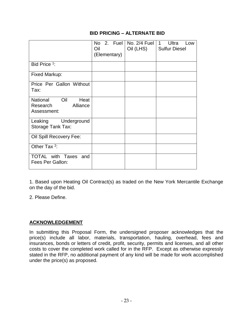#### **BID PRICING – ALTERNATE BID**

|                                                                       | Oil | No 2. Fuel<br>(Elementary) | No. 2/4 Fuel<br>Oil (LHS) | Ultra<br>1<br>Low<br><b>Sulfur Diesel</b> |
|-----------------------------------------------------------------------|-----|----------------------------|---------------------------|-------------------------------------------|
| Bid Price $1$ :                                                       |     |                            |                           |                                           |
| <b>Fixed Markup:</b>                                                  |     |                            |                           |                                           |
| Price Per Gallon Without<br>Tax:                                      |     |                            |                           |                                           |
| Oil<br><b>National</b><br>Heat<br>Alliance<br>Research<br>Assessment: |     |                            |                           |                                           |
| Leaking<br>Underground<br>Storage Tank Tax:                           |     |                            |                           |                                           |
| Oil Spill Recovery Fee:                                               |     |                            |                           |                                           |
| Other Tax <sup>2</sup> :                                              |     |                            |                           |                                           |
| TOTAL with Taxes and<br>Fees Per Gallon:                              |     |                            |                           |                                           |

1. Based upon Heating Oil Contract(s) as traded on the New York Mercantile Exchange on the day of the bid.

2. Please Define.

#### **ACKNOWLEDGEMENT**

In submitting this Proposal Form, the undersigned proposer acknowledges that the price(s) include all labor, materials, transportation, hauling, overhead, fees and insurances, bonds or letters of credit, profit, security, permits and licenses, and all other costs to cover the completed work called for in the RFP. Except as otherwise expressly stated in the RFP, no additional payment of any kind will be made for work accomplished under the price(s) as proposed.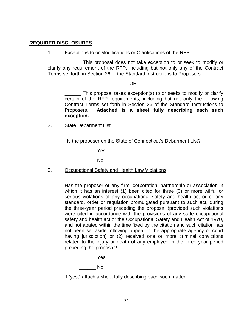#### **REQUIRED DISCLOSURES**

#### 1. Exceptions to or Modifications or Clarifications of the RFP

This proposal does not take exception to or seek to modify or clarify any requirement of the RFP, including but not only any of the Contract Terms set forth in Section 26 of the Standard Instructions to Proposers.

OR

\_\_\_\_\_\_ This proposal takes exception(s) to or seeks to modify or clarify certain of the RFP requirements, including but not only the following Contract Terms set forth in Section 26 of the Standard Instructions to Proposers. **Attached is a sheet fully describing each such exception.**

2. State Debarment List

Is the proposer on the State of Connecticut's Debarment List?

\_\_\_\_\_\_ Yes

 $\blacksquare$ 

3. Occupational Safety and Health Law Violations

Has the proposer or any firm, corporation, partnership or association in which it has an interest (1) been cited for three (3) or more willful or serious violations of any occupational safety and health act or of any standard, order or regulation promulgated pursuant to such act, during the three-year period preceding the proposal (provided such violations were cited in accordance with the provisions of any state occupational safety and health act or the Occupational Safety and Health Act of 1970, and not abated within the time fixed by the citation and such citation has not been set aside following appeal to the appropriate agency or court having jurisdiction) or (2) received one or more criminal convictions related to the injury or death of any employee in the three-year period preceding the proposal?

\_\_\_\_\_\_ Yes

 $\blacksquare$ 

If "yes," attach a sheet fully describing each such matter.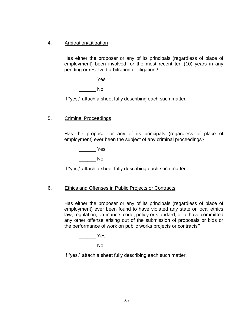#### 4. Arbitration/Litigation

Has either the proposer or any of its principals (regardless of place of employment) been involved for the most recent ten (10) years in any pending or resolved arbitration or litigation?

\_\_\_\_\_\_ Yes

 $\blacksquare$ 

If "yes," attach a sheet fully describing each such matter.

#### 5. Criminal Proceedings

Has the proposer or any of its principals (regardless of place of employment) ever been the subject of any criminal proceedings?

\_\_\_\_\_\_ Yes

\_\_\_\_\_\_ No

If "yes," attach a sheet fully describing each such matter.

#### 6. Ethics and Offenses in Public Projects or Contracts

Has either the proposer or any of its principals (regardless of place of employment) ever been found to have violated any state or local ethics law, regulation, ordinance, code, policy or standard, or to have committed any other offense arising out of the submission of proposals or bids or the performance of work on public works projects or contracts?

\_\_\_\_\_\_ Yes

 $\blacksquare$ 

If "yes," attach a sheet fully describing each such matter.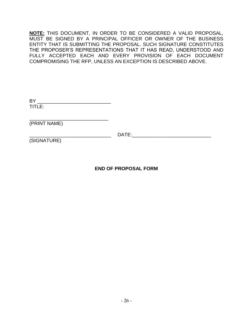**NOTE:** THIS DOCUMENT, IN ORDER TO BE CONSIDERED A VALID PROPOSAL, MUST BE SIGNED BY A PRINCIPAL OFFICER OR OWNER OF THE BUSINESS ENTITY THAT IS SUBMITTING THE PROPOSAL. SUCH SIGNATURE CONSTITUTES THE PROPOSER'S REPRESENTATIONS THAT IT HAS READ, UNDERSTOOD AND FULLY ACCEPTED EACH AND EVERY PROVISION OF EACH DOCUMENT COMPROMISING THE RFP, UNLESS AN EXCEPTION IS DESCRIBED ABOVE.

BY \_\_\_\_\_\_\_\_\_\_\_\_\_\_\_\_\_\_\_\_\_\_\_\_\_\_\_ TITLE:

\_\_\_\_\_\_\_\_\_\_\_\_\_\_\_\_\_\_\_\_\_\_\_\_\_\_\_\_\_ (PRINT NAME)

\_\_\_\_\_\_\_\_\_\_\_\_\_\_\_\_\_\_\_\_\_\_\_\_\_\_\_\_\_\_ DATE:\_\_\_\_\_\_\_\_\_\_\_\_\_\_\_\_\_\_\_\_\_\_\_\_\_\_\_\_\_

(SIGNATURE)

**END OF PROPOSAL FORM**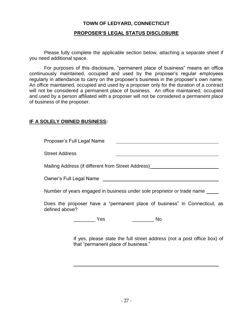#### **TOWN OF LEDYARD, CONNECTICUT**

#### **PROPOSER'S LEGAL STATUS DISCLOSURE**

Please fully complete the applicable section below, attaching a separate sheet if you need additional space.

For purposes of this disclosure, "permanent place of business" means an office continuously maintained, occupied and used by the proposer's regular employees regularly in attendance to carry on the proposer's business in the proposer's own name. An office maintained, occupied and used by a proposer only for the duration of a contract will not be considered a permanent place of business. An office maintained, occupied and used by a person affiliated with a proposer will not be considered a permanent place of business of the proposer.

#### **IF A SOLELY OWNED BUSINESS:**

Proposer's Full Legal Name

Street Address

Mailing Address (if different from Street Address)

Owner's Full Legal Name

Number of years engaged in business under sole proprietor or trade name

Does the proposer have a "permanent place of business" in Connecticut, as defined above?

\_\_\_\_\_\_\_\_ Yes \_\_\_\_\_\_\_\_ No

If yes, please state the full street address (not a post office box) of that "permanent place of business."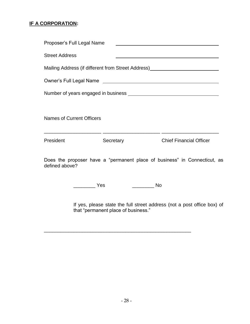#### **IF A CORPORATION:**

| Proposer's Full Legal Name                                                                               |           |                                                                           |
|----------------------------------------------------------------------------------------------------------|-----------|---------------------------------------------------------------------------|
| <b>Street Address</b>                                                                                    |           | <u> 1989 - Johann Barn, amerikansk politiker (</u>                        |
| Mailing Address (if different from Street Address)<br>Mailing Address (if different from Street Address) |           |                                                                           |
|                                                                                                          |           |                                                                           |
|                                                                                                          |           |                                                                           |
| <b>Names of Current Officers</b>                                                                         |           |                                                                           |
| President                                                                                                | Secretary | <b>Chief Financial Officer</b>                                            |
| defined above?                                                                                           |           | Does the proposer have a "permanent place of business" in Connecticut, as |

\_\_\_\_\_\_\_\_ Yes \_\_\_\_\_\_\_\_ No

\_\_\_\_\_\_\_\_\_\_\_\_\_\_\_\_\_\_\_\_\_\_\_\_\_\_\_\_\_\_\_\_\_\_\_\_\_\_\_\_\_\_\_\_\_\_\_\_\_\_\_\_\_\_

If yes, please state the full street address (not a post office box) of that "permanent place of business."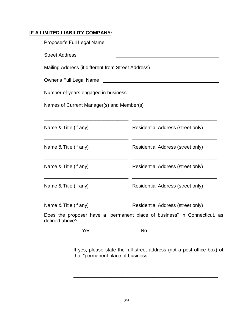#### **IF A LIMITED LIABILITY COMPANY:**

| Proposer's Full Legal Name                |                                                                                                                                                                                                                                      |
|-------------------------------------------|--------------------------------------------------------------------------------------------------------------------------------------------------------------------------------------------------------------------------------------|
| <b>Street Address</b>                     |                                                                                                                                                                                                                                      |
|                                           | Mailing Address (if different from Street Address)<br>Mailing Address (if different from Street Address)                                                                                                                             |
|                                           |                                                                                                                                                                                                                                      |
|                                           | Number of years engaged in business <b>Number of years and the set of the set of the set of the set of the set of the set of the set of the set of the set of the set of the set of the set of the set of the set of the set of </b> |
| Names of Current Manager(s) and Member(s) |                                                                                                                                                                                                                                      |
|                                           |                                                                                                                                                                                                                                      |
| Name & Title (if any)                     | Residential Address (street only)                                                                                                                                                                                                    |
| Name & Title (if any)                     | <b>Residential Address (street only)</b>                                                                                                                                                                                             |
| Name & Title (if any)                     | Residential Address (street only)                                                                                                                                                                                                    |
| Name & Title (if any)                     | <b>Residential Address (street only)</b>                                                                                                                                                                                             |
| Name & Title (if any)                     | Residential Address (street only)                                                                                                                                                                                                    |
| defined above?                            | Does the proposer have a "permanent place of business" in Connecticut, as                                                                                                                                                            |

\_\_\_\_\_\_\_\_ Yes \_\_\_\_\_\_\_\_ No

If yes, please state the full street address (not a post office box) of that "permanent place of business."

\_\_\_\_\_\_\_\_\_\_\_\_\_\_\_\_\_\_\_\_\_\_\_\_\_\_\_\_\_\_\_\_\_\_\_\_\_\_\_\_\_\_\_\_\_\_\_\_\_\_\_\_\_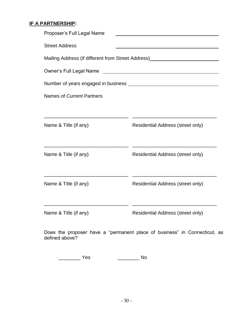#### **IF A PARTNERSHIP:**

| Proposer's Full Legal Name       |                                                                                                                 |
|----------------------------------|-----------------------------------------------------------------------------------------------------------------|
| <b>Street Address</b>            |                                                                                                                 |
|                                  | Mailing Address (if different from Street Address)<br>Mailing Address (if different from Street Address)        |
|                                  | Owner's Full Legal Name Latter and Communication of the Communication of the Communication of the Communication |
|                                  |                                                                                                                 |
| <b>Names of Current Partners</b> |                                                                                                                 |
|                                  |                                                                                                                 |
| Name & Title (if any)            | Residential Address (street only)                                                                               |
| Name & Title (if any)            | Residential Address (street only)                                                                               |
| Name & Title (if any)            | Residential Address (street only)                                                                               |
| Name & Title (if any)            | Residential Address (street only)                                                                               |

Does the proposer have a "permanent place of business" in Connecticut, as defined above?

| v.o<br>-- | ٦ı |
|-----------|----|
|-----------|----|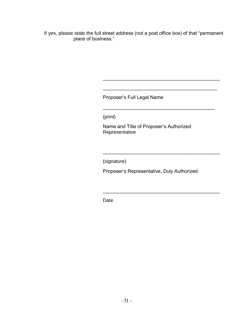If yes, please state the full street address (not a post office box) of that "permanent place of business."

Proposer's Full Legal Name

(print)

Name and Title of Proposer's Authorized Representative

\_\_\_\_\_\_\_\_\_\_\_\_\_\_\_\_\_\_\_\_\_\_\_\_\_\_\_\_\_\_\_\_\_\_\_\_\_\_\_\_\_\_\_

\_\_\_\_\_\_\_\_\_\_\_\_\_\_\_\_\_\_\_\_\_\_\_\_\_\_\_\_\_\_\_\_\_\_\_\_\_\_\_\_\_\_

\_\_\_\_\_\_\_\_\_\_\_\_\_\_\_\_\_\_\_\_\_\_\_\_\_\_\_\_\_\_\_\_\_\_\_\_\_\_\_\_\_

\_\_\_\_\_\_\_\_\_\_\_\_\_\_\_\_\_\_\_\_\_\_\_\_\_\_\_\_\_\_\_\_\_\_\_\_\_\_\_\_\_\_\_

\_\_\_\_\_\_\_\_\_\_\_\_\_\_\_\_\_\_\_\_\_\_\_\_\_\_\_\_\_\_\_\_\_\_\_\_\_\_\_\_\_\_\_

(signature)

Proposer's Representative, Duly Authorized

Date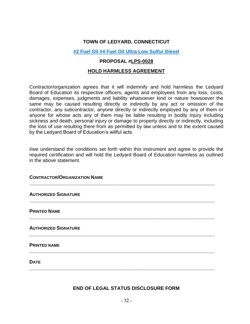#### **TOWN OF LEDYARD, CONNECTICUT**

#### **#2 Fuel Oil #4 Fuel Oil Ultra Low Sulfur Diesel**

#### **PROPOSAL #LPS-0028**

#### **HOLD HARMLESS AGREEMENT**

Contractor/organization agrees that it will indemnify and hold harmless the Ledyard Board of Education its respective officers, agents and employees from any loss, costs, damages, expenses, judgments and liability whatsoever kind or nature howsoever the same may be caused resulting directly or indirectly by any act or omission of the contractor, any subcontractor, anyone directly or indirectly employed by any of them or anyone for whose acts any of them may be liable resulting in bodily injury including sickness and death, personal injury or damage to property directly or indirectly, including the loss of use resulting there from as permitted by law unless and to the extent caused by the Ledyard Board of Education's willful acts.

I/we understand the conditions set forth within this instrument and agree to provide the required certification and will hold the Ledyard Board of Education harmless as outlined in the above statement.

**\_\_\_\_\_\_\_\_\_\_\_\_\_\_\_\_\_\_\_\_\_\_\_\_\_\_\_\_\_\_\_\_\_\_\_\_\_\_\_\_\_\_\_\_\_\_\_\_\_\_\_\_\_\_\_\_\_\_\_\_\_\_\_\_\_\_\_\_**

**\_\_\_\_\_\_\_\_\_\_\_\_\_\_\_\_\_\_\_\_\_\_\_\_\_\_\_\_\_\_\_\_\_\_\_\_\_\_\_\_\_\_\_\_\_\_\_\_\_\_\_\_\_\_\_\_\_\_\_\_\_\_\_\_\_\_\_\_**

**\_\_\_\_\_\_\_\_\_\_\_\_\_\_\_\_\_\_\_\_\_\_\_\_\_\_\_\_\_\_\_\_\_\_\_\_\_\_\_\_\_\_\_\_\_\_\_\_\_\_\_\_\_\_\_\_\_\_\_\_\_\_\_\_\_\_\_\_**

**\_\_\_\_\_\_\_\_\_\_\_\_\_\_\_\_\_\_\_\_\_\_\_\_\_\_\_\_\_\_\_\_\_\_\_\_\_\_\_\_\_\_\_\_\_\_\_\_\_\_\_\_\_\_\_\_\_\_\_\_\_\_\_\_\_\_\_\_**

**\_\_\_\_\_\_\_\_\_\_\_\_\_\_\_\_\_\_\_\_\_\_\_\_\_\_\_\_\_\_\_\_\_\_\_\_\_\_\_\_\_\_\_\_\_\_\_\_\_\_\_\_\_\_\_\_\_\_\_\_\_\_\_\_\_\_\_\_**

**\_\_\_\_\_\_\_\_\_\_\_\_\_\_\_\_\_\_\_\_\_\_\_\_\_\_\_\_\_\_\_\_\_\_\_\_\_\_\_\_\_\_\_\_\_\_\_\_\_\_\_\_\_\_\_\_\_\_\_\_\_\_\_\_\_\_\_\_**

#### **CONTRACTOR/ORGANIZATION NAME**

#### **AUTHORIZED SIGNATURE**

**PRINTED NAME** 

**AUTHORIZED SIGNATURE** 

**PRINTED NAME** 

**DATE** 

#### **END OF LEGAL STATUS DISCLOSURE FORM**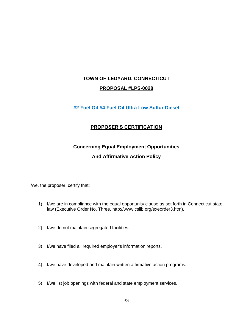## **TOWN OF LEDYARD, CONNECTICUT PROPOSAL #LPS-0028**

#### **#2 Fuel Oil #4 Fuel Oil Ultra Low Sulfur Diesel**

#### **PROPOSER'S CERTIFICATION**

### **Concerning Equal Employment Opportunities And Affirmative Action Policy**

I/we, the proposer, certify that:

- 1) I/we are in compliance with the equal opportunity clause as set forth in Connecticut state law (Executive Order No. Three, http://www.cslib.org/exeorder3.htm).
- 2) I/we do not maintain segregated facilities.
- 3) I/we have filed all required employer's information reports.
- 4) I/we have developed and maintain written affirmative action programs.
- 5) I/we list job openings with federal and state employment services.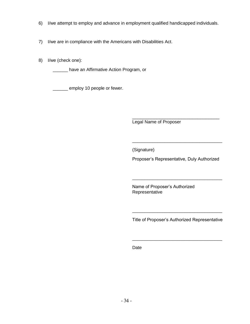- 6) I/we attempt to employ and advance in employment qualified handicapped individuals.
- 7) I/we are in compliance with the Americans with Disabilities Act.
- 8) I/we (check one):

**\_\_\_\_\_\_** have an Affirmative Action Program, or

\_\_\_\_\_ employ 10 people or fewer.

\_\_\_\_\_\_\_\_\_\_\_\_\_\_\_\_\_\_\_\_\_\_\_\_\_\_\_\_\_\_\_\_ Legal Name of Proposer

(Signature)

Proposer's Representative, Duly Authorized

\_\_\_\_\_\_\_\_\_\_\_\_\_\_\_\_\_\_\_\_\_\_\_\_\_\_\_\_\_\_\_\_\_\_\_\_

\_\_\_\_\_\_\_\_\_\_\_\_\_\_\_\_\_\_\_\_\_\_\_\_\_\_\_\_\_\_\_\_\_\_\_\_

Name of Proposer's Authorized Representative

Title of Proposer's Authorized Representative

\_\_\_\_\_\_\_\_\_\_\_\_\_\_\_\_\_\_\_\_\_\_\_\_\_\_\_\_\_\_\_\_\_\_\_\_

\_\_\_\_\_\_\_\_\_\_\_\_\_\_\_\_\_\_\_\_\_\_\_\_\_\_\_\_\_\_\_\_\_\_\_\_

Date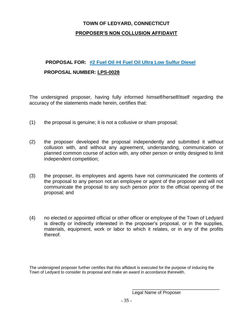## **TOWN OF LEDYARD, CONNECTICUT PROPOSER'S NON COLLUSION AFFIDAVIT**

#### **PROPOSAL FOR: #2 Fuel Oil #4 Fuel Oil Ultra Low Sulfur Diesel**

#### **PROPOSAL NUMBER: LPS-0028**

The undersigned proposer, having fully informed himself/herself/itself regarding the accuracy of the statements made herein, certifies that:

- (1) the proposal is genuine; it is not a collusive or sham proposal;
- (2) the proposer developed the proposal independently and submitted it without collusion with, and without any agreement, understanding, communication or planned common course of action with, any other person or entity designed to limit independent competition;
- (3) the proposer, its employees and agents have not communicated the contents of the proposal to any person not an employee or agent of the proposer and will not communicate the proposal to any such person prior to the official opening of the proposal; and
- (4) no elected or appointed official or other officer or employee of the Town of Ledyard is directly or indirectly interested in the proposer's proposal, or in the supplies, materials, equipment, work or labor to which it relates, or in any of the profits thereof.

The undersigned proposer further certifies that this affidavit is executed for the purpose of inducing the Town of Ledyard to consider its proposal and make an award in accordance therewith.

Legal Name of Proposer

\_\_\_\_\_\_\_\_\_\_\_\_\_\_\_\_\_\_\_\_\_\_\_\_\_\_\_\_\_\_\_\_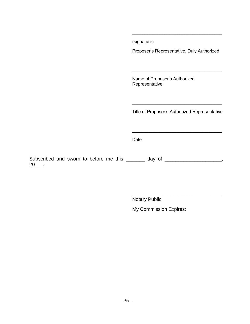(signature)

Proposer's Representative, Duly Authorized

\_\_\_\_\_\_\_\_\_\_\_\_\_\_\_\_\_\_\_\_\_\_\_\_\_\_\_\_\_\_\_\_\_\_\_\_

\_\_\_\_\_\_\_\_\_\_\_\_\_\_\_\_\_\_\_\_\_\_\_\_\_\_\_\_\_\_\_\_\_\_\_\_

Name of Proposer's Authorized Representative

Title of Proposer's Authorized Representative

\_\_\_\_\_\_\_\_\_\_\_\_\_\_\_\_\_\_\_\_\_\_\_\_\_\_\_\_\_\_\_\_\_\_\_\_

\_\_\_\_\_\_\_\_\_\_\_\_\_\_\_\_\_\_\_\_\_\_\_\_\_\_\_\_\_\_\_\_\_\_\_\_

Date

Subscribed and sworn to before me this \_\_\_\_\_\_\_ day of \_\_\_\_\_\_\_\_\_\_\_\_\_\_\_\_\_\_\_,  $20$ \_\_\_.

> \_\_\_\_\_\_\_\_\_\_\_\_\_\_\_\_\_\_\_\_\_\_\_\_\_\_\_\_\_\_\_\_\_ Notary Public

My Commission Expires: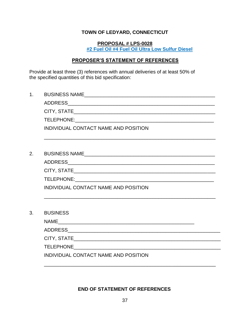#### **TOWN OF LEDYARD, CONNECTICUT**

#### **PROPOSAL # LPS-0028 #2 Fuel Oil #4 Fuel Oil Ultra Low Sulfur Diesel**

#### **PROPOSER'S STATEMENT OF REFERENCES**

\_\_\_\_\_\_\_\_\_\_\_\_\_\_\_\_\_\_\_\_\_\_\_\_\_\_\_\_\_\_\_\_\_\_\_\_\_\_\_\_\_\_\_\_\_\_\_\_\_\_\_\_\_\_\_\_\_\_\_\_\_\_\_

\_\_\_\_\_\_\_\_\_\_\_\_\_\_\_\_\_\_\_\_\_\_\_\_\_\_\_\_\_\_\_\_\_\_\_\_\_\_\_\_\_\_\_\_\_\_\_\_\_\_\_\_\_\_\_\_\_\_\_\_\_\_\_

Provide at least three (3) references with annual deliveries of at least 50% of the specified quantities of this bid specification:

1. BUSINESS NAME\_\_\_\_\_\_\_\_\_\_\_\_\_\_\_\_\_\_\_\_\_\_\_\_\_\_\_\_\_\_\_\_\_\_\_\_\_\_\_\_\_\_\_\_\_\_\_\_

ADDRESS\_\_\_\_\_\_\_\_\_\_\_\_\_\_\_\_\_\_\_\_\_\_\_\_\_\_\_\_\_\_\_\_\_\_\_\_\_\_\_\_\_\_\_\_\_\_\_\_\_\_\_\_\_\_

CITY, STATE\_\_\_\_\_\_\_\_\_\_\_\_\_\_\_\_\_\_\_\_\_\_\_\_\_\_\_\_\_\_\_\_\_\_\_\_\_\_\_\_\_\_\_\_\_\_\_\_\_\_\_\_

TELEPHONE:

INDIVIDUAL CONTACT NAME AND POSITION

2. BUSINESS NAME

ADDRESS\_\_\_\_\_\_\_\_\_\_\_\_\_\_\_\_\_\_\_\_\_\_\_\_\_\_\_\_\_\_\_\_\_\_\_\_\_\_\_\_\_\_\_\_\_\_\_\_\_\_\_\_\_\_

CITY, STATE\_\_\_\_\_\_\_\_\_\_\_\_\_\_\_\_\_\_\_\_\_\_\_\_\_\_\_\_\_\_\_\_\_\_\_\_\_\_\_\_\_\_\_\_\_\_\_\_\_\_\_\_

TELEPHONE:\_\_\_\_\_\_\_\_\_\_\_\_\_\_\_\_\_\_\_\_\_\_\_\_\_\_\_\_\_\_\_\_\_\_\_\_\_\_\_\_\_\_\_\_\_\_\_\_\_\_\_

INDIVIDUAL CONTACT NAME AND POSITION

3. BUSINESS

NAME\_\_\_\_\_\_\_\_\_\_\_\_\_\_\_\_\_\_\_\_\_\_\_\_\_\_\_\_\_\_\_\_\_\_\_\_\_\_\_\_\_\_\_\_\_\_\_\_\_\_

ADDRESS\_\_\_\_\_\_\_\_\_\_\_\_\_\_\_\_\_\_\_\_\_\_\_\_\_\_\_\_\_\_\_\_\_\_\_\_\_\_\_\_\_\_\_\_\_\_\_\_\_\_\_\_\_\_\_\_

CITY, STATE\_\_\_\_\_\_\_\_\_\_\_\_\_\_\_\_\_\_\_\_\_\_\_\_\_\_\_\_\_\_\_\_\_\_\_\_\_\_\_\_\_\_\_\_\_\_\_\_\_\_\_\_\_\_

TELEPHONE\_\_\_\_\_\_\_\_\_\_\_\_\_\_\_\_\_\_\_\_\_\_\_\_\_\_\_\_\_\_\_\_\_\_\_\_\_\_\_\_\_\_\_\_\_\_\_\_\_\_\_\_\_\_

INDIVIDUAL CONTACT NAME AND POSITION

#### **END OF STATEMENT OF REFERENCES**

\_\_\_\_\_\_\_\_\_\_\_\_\_\_\_\_\_\_\_\_\_\_\_\_\_\_\_\_\_\_\_\_\_\_\_\_\_\_\_\_\_\_\_\_\_\_\_\_\_\_\_\_\_\_\_\_\_\_\_\_\_\_\_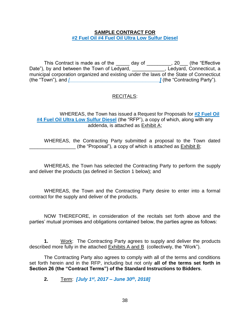#### **SAMPLE CONTRACT FOR #2 Fuel Oil #4 Fuel Oil Ultra Low Sulfur Diesel**

This Contract is made as of the \_\_\_\_\_ day of \_\_\_\_\_\_\_\_\_, 20\_\_\_ (the "Effective Date"), by and between the Town of Ledyard, **Electerate Letter and Connecticut, a** municipal corporation organized and existing under the laws of the State of Connecticut (the "Town"), and *[\_\_\_\_\_\_\_\_\_\_\_\_\_\_\_\_\_\_\_\_\_\_\_\_\_\_\_\_\_\_\_\_\_]* (the "Contracting Party").

#### RECITALS:

WHEREAS, the Town has issued a Request for Proposals for **#2 Fuel Oil #4 Fuel Oil Ultra Low Sulfur Diesel** (the "RFP"), a copy of which, along with any addenda, is attached as Exhibit A;

WHEREAS, the Contracting Party submitted a proposal to the Town dated (the "Proposal"), a copy of which is attached as Exhibit B;

WHEREAS, the Town has selected the Contracting Party to perform the supply and deliver the products (as defined in Section 1 below); and

WHEREAS, the Town and the Contracting Party desire to enter into a formal contract for the supply and deliver of the products.

NOW THEREFORE, in consideration of the recitals set forth above and the parties' mutual promises and obligations contained below, the parties agree as follows:

**1.** Work: The Contracting Party agrees to supply and deliver the products described more fully in the attached Exhibits A and B (collectively, the "Work").

The Contracting Party also agrees to comply with all of the terms and conditions set forth herein and in the RFP, including but not only **all of the terms set forth in Section 26 (the "Contract Terms") of the Standard Instructions to Bidders**.

**2.** Term: *[July 1st, 2017 – June 30th, 2018]*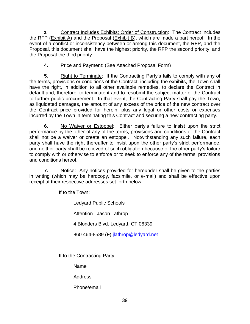**3.** Contract Includes Exhibits; Order of Construction: The Contract includes the RFP (Exhibit A) and the Proposal (Exhibit B), which are made a part hereof. In the event of a conflict or inconsistency between or among this document, the RFP, and the Proposal, this document shall have the highest priority, the RFP the second priority, and the Proposal the third priority.

**4.** Price and Payment: (See Attached Proposal Form)

**5.** Right to Terminate: If the Contracting Party's fails to comply with any of the terms, provisions or conditions of the Contract, including the exhibits, the Town shall have the right, in addition to all other available remedies, to declare the Contract in default and, therefore, to terminate it and to resubmit the subject matter of the Contract to further public procurement. In that event, the Contracting Party shall pay the Town, as liquidated damages, the amount of any excess of the price of the new contract over the Contract price provided for herein, plus any legal or other costs or expenses incurred by the Town in terminating this Contract and securing a new contracting party.

**6.** No Waiver or Estoppel: Either party's failure to insist upon the strict performance by the other of any of the terms, provisions and conditions of the Contract shall not be a waiver or create an estoppel. Notwithstanding any such failure, each party shall have the right thereafter to insist upon the other party's strict performance, and neither party shall be relieved of such obligation because of the other party's failure to comply with or otherwise to enforce or to seek to enforce any of the terms, provisions and conditions hereof.

**7.** Notice: Any notices provided for hereunder shall be given to the parties in writing (which may be hardcopy, facsimile, or e-mail) and shall be effective upon receipt at their respective addresses set forth below:

If to the Town:

Ledyard Public Schools

Attention : Jason Lathrop

4 Blonders Blvd. Ledyard, CT 06339

860 464-8589 (F) [jlathrop@ledyard.net](mailto:jlathrop@ledyard.net)

If to the Contracting Party:

Name

Address

Phone/email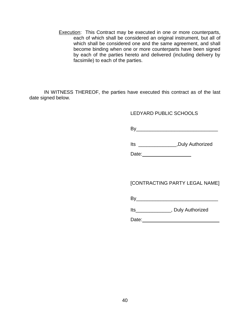Execution: This Contract may be executed in one or more counterparts, each of which shall be considered an original instrument, but all of which shall be considered one and the same agreement, and shall become binding when one or more counterparts have been signed by each of the parties hereto and delivered (including delivery by facsimile) to each of the parties.

IN WITNESS THEREOF, the parties have executed this contract as of the last date signed below.

#### LEDYARD PUBLIC SCHOOLS

 $\mathsf{B}\mathsf{v}$ 

Its \_\_\_\_\_\_\_\_\_\_\_\_\_\_,Duly Authorized

Date: **Date: Date: Date: Date:** 

#### [CONTRACTING PARTY LEGAL NAME]

By\_\_\_\_\_\_\_\_\_\_\_\_\_\_\_\_\_\_\_\_\_\_\_\_\_\_\_\_\_\_

Its\_\_\_\_\_\_\_\_\_\_\_\_\_, Duly Authorized

Date: \_\_\_\_\_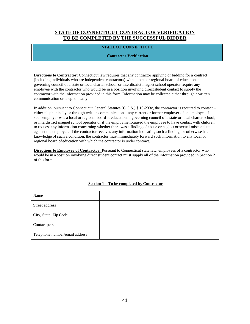#### **STATE OF CONNECTICUT CONTRACTOR VERIFICATION TO BE COMPLETED BY THE SUCCESSFUL BIDDER**

#### **STATE OF CONNECTICUT**

#### **Contractor Verification**

**Directions to Contractor**: Connecticut law requires that any contractor applying or bidding for a contract (including individuals who are independent contractors) with a local or regional board of education, a governing council of a state or local charter school, or interdistrict magnet school operator require any employee with the contractor who would be in a position involving directstudent contact to supply the contractor with the information provided in this form. Information may be collected either through a written communication or telephonically.

In addition, pursuant to Connecticut General Statutes (C.G.S.) § 10-233c, the contractor is required to contact – eithertelephonically or through written communication – any current or former employer of an employee if such employer was a local or regional boardof education, a governing council of a state or local charter school, or interdistrict magnet school operator or if the employment caused the employee to have contact with children, to request any information concerning whether there was a finding of abuse or neglect or sexual misconduct against the employee. If the contractor receives any information indicating such a finding, or otherwise has knowledge of such a condition, the contractor must immediately forward such information to any local or regional board ofeducation with which the contractor is under contract.

**Directions to Employee of Contractor:** Pursuant to Connecticut state law, employees of a contractor who would be in a position involving direct student contact must supply all of the information provided in Section 2 of thisform.

| Name                           |  |
|--------------------------------|--|
| Street address                 |  |
| City, State, Zip Code          |  |
| Contact person                 |  |
| Telephone number/email address |  |

#### **Section 1 – To be completed by Contractor**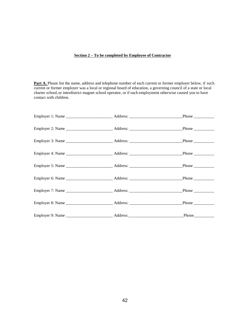#### **Section 2 – To be completed by Employee of Contractor**

Part A. Please list the name, address and telephone number of each current or former employer below, if such current or former employer was a local or regional board of education, a governing council of a state or local charter school, or interdistrict magnet school operator, or if such employment otherwise caused you to have contact with children.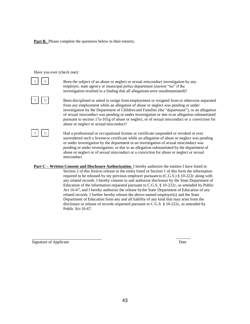**Part B.** Please complete the questions below in their entirety.

Have you ever (check one):

Been the subject of an abuse or neglect or sexual misconduct investigation by any employer, state agency or municipal police department (answer "no" if the investigation resulted in a finding that all allegations were unsubstantiated)?

N Been disciplined or asked to resign from employment or resigned from or otherwise separated from any employment while an allegation of abuse or neglect was pending or under investigation by the Department of Children and Families (the "department"), or an allegation of sexual misconduct was pending or under investigation or due to an allegation substantiated

abuse or neglect or sexual misconduct?

N Had a professional or occupational license or certificate suspended or revoked or ever surrendered such a licenseor certificate while an allegation of abuse or neglect was pending or under investigation by the department or an investigation of sexual misconduct was pending or under investigation, or due to an allegation substantiated by the department of abuse or neglect or of sexual misconduct or a conviction for abuse or neglect or sexual misconduct

pursuant to section 17a-101g of abuse or neglect, or of sexual misconduct or a conviction for

**Part C – Written Consent and Disclosure Authorization.** I hereby authorize the entities I have listed in Section 2 of this formto release to the entity listed in Section 1 of this form the information required to be released by my previous employer pursuant to (C.G.S.) § 10-222c along with any related records. I hereby consent to and authorize disclosure by the State Department of Education of the information requested pursuant to C.G.S. § 10-222c, as amended by Public Act 16-67, and I hereby authorize the release bythe State Department of Education of any related records. I further hereby release the above-named employer(s) and the State Department of Education from any and all liability of any kind that may arise from the disclosure or release of records requested pursuant to C.G.S. § 10-222c, as amended by Public Act 16-67.

Signature of Applicant Date  $\Box$ 

 $\overline{\phantom{a}}$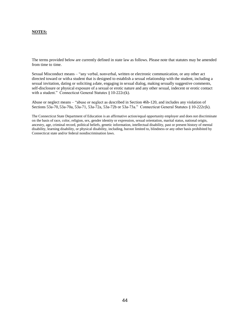#### **NOTES:**

The terms provided below are currently defined in state law as follows. Please note that statutes may be amended from time to time.

Sexual Misconduct means – "any verbal, nonverbal, written or electronic communication, or any other act directed toward or witha student that is designed to establish a sexual relationship with the student, including a sexual invitation, dating or soliciting adate, engaging in sexual dialog, making sexually suggestive comments, self-disclosure or physical exposure of a sexual or erotic nature and any other sexual, indecent or erotic contact with a student." Connecticut General Statutes § 10-222c(k).

Abuse or neglect means – "abuse or neglect as described in Section 46b-120, and includes any violation of Sections 53a-70,53a-70a, 53a-71, 53a-72a, 53a-72b or 53a-73a." Connecticut General Statutes § 10-222c(k).

The Connecticut State Department of Education is an affirmative action/equal opportunity employer and does not discriminate on the basis of race, color, religion, sex, gender identity or expression, sexual orientation, marital status, national origin, ancestry, age, criminal record, political beliefs, genetic information, intellectual disability, past or present history of mental disability, learning disability, or physical disability, including, butnot limited to, blindness or any other basis prohibited by Connecticut state and/or federal nondiscrimination laws.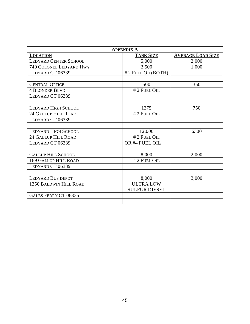| <b>APPENDIX A</b>              |                      |                          |  |  |  |
|--------------------------------|----------------------|--------------------------|--|--|--|
| <b>LOCATION</b>                | <b>TANK SIZE</b>     | <b>AVERAGE LOAD SIZE</b> |  |  |  |
| <b>LEDYARD CENTER SCHOOL</b>   | 5,000                | 2,000                    |  |  |  |
| <b>740 COLONEL LEDYARD HWY</b> | 2,500                | 1,000                    |  |  |  |
| LEDYARD CT 06339               | #2 FUEL OIL(BOTH)    |                          |  |  |  |
|                                |                      |                          |  |  |  |
| <b>CENTRAL OFFICE</b>          | 500                  | 350                      |  |  |  |
| <b>4 BLONDER BLVD</b>          | #2 FUEL OIL          |                          |  |  |  |
| LEDYARD CT 06339               |                      |                          |  |  |  |
|                                |                      |                          |  |  |  |
| <b>LEDYARD HIGH SCHOOL</b>     | 1375                 | 750                      |  |  |  |
| <b>24 GALLUP HILL ROAD</b>     | $# 2$ FUEL OIL       |                          |  |  |  |
| LEDYARD CT 06339               |                      |                          |  |  |  |
|                                |                      |                          |  |  |  |
| <b>LEDYARD HIGH SCHOOL</b>     | 12,000               | 6300                     |  |  |  |
| <b>24 GALLUP HILL ROAD</b>     | #2 FUEL OIL          |                          |  |  |  |
| LEDYARD CT 06339               | OR #4 FUEL OIL       |                          |  |  |  |
|                                |                      |                          |  |  |  |
| <b>GALLUP HILL SCHOOL</b>      | 8,000                | 2,000                    |  |  |  |
| <b>169 GALLUP HILL ROAD</b>    | #2 FUEL OIL          |                          |  |  |  |
| LEDYARD CT 06339               |                      |                          |  |  |  |
|                                |                      |                          |  |  |  |
| <b>LEDYARD BUS DEPOT</b>       | 8,000                | 3,000                    |  |  |  |
| <b>1350 BALDWIN HILL ROAD</b>  | <b>ULTRA LOW</b>     |                          |  |  |  |
|                                | <b>SULFUR DIESEL</b> |                          |  |  |  |
| <b>GALES FERRY CT 06335</b>    |                      |                          |  |  |  |
|                                |                      |                          |  |  |  |